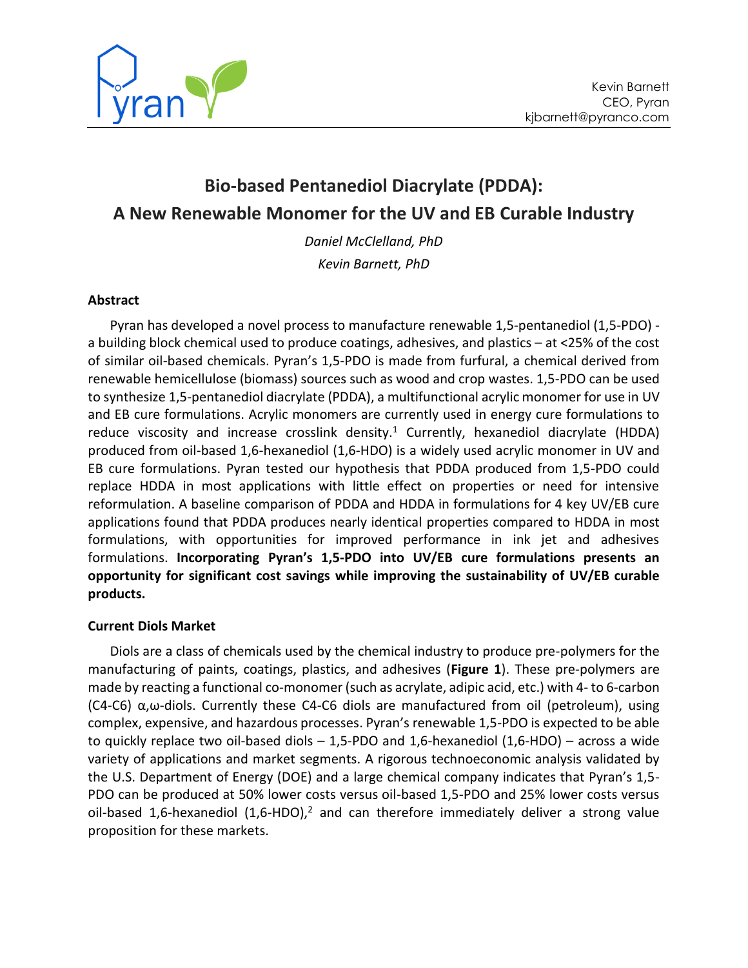

# **Bio-based Pentanediol Diacrylate (PDDA): A New Renewable Monomer for the UV and EB Curable Industry**

*Daniel McClelland, PhD Kevin Barnett, PhD*

# **Abstract**

Pyran has developed a novel process to manufacture renewable 1,5-pentanediol (1,5-PDO) a building block chemical used to produce coatings, adhesives, and plastics – at <25% of the cost of similar oil-based chemicals. Pyran's 1,5-PDO is made from furfural, a chemical derived from renewable hemicellulose (biomass) sources such as wood and crop wastes. 1,5-PDO can be used to synthesize 1,5-pentanediol diacrylate (PDDA), a multifunctional acrylic monomer for use in UV and EB cure formulations. Acrylic monomers are currently used in energy cure formulations to reduce viscosity and increase crosslink density.<sup>1</sup> Currently, hexanediol diacrylate (HDDA) produced from oil-based 1,6-hexanediol (1,6-HDO) is a widely used acrylic monomer in UV and EB cure formulations. Pyran tested our hypothesis that PDDA produced from 1,5-PDO could replace HDDA in most applications with little effect on properties or need for intensive reformulation. A baseline comparison of PDDA and HDDA in formulations for 4 key UV/EB cure applications found that PDDA produces nearly identical properties compared to HDDA in most formulations, with opportunities for improved performance in ink jet and adhesives formulations. **Incorporating Pyran's 1,5-PDO into UV/EB cure formulations presents an opportunity for significant cost savings while improving the sustainability of UV/EB curable products.**

# **Current Diols Market**

Diols are a class of chemicals used by the chemical industry to produce pre-polymers for the manufacturing of paints, coatings, plastics, and adhesives (**[Figure 1](#page-1-0)**). These pre-polymers are made by reacting a functional co-monomer (such as acrylate, adipic acid, etc.) with 4- to 6-carbon (C4-C6) α,ω-diols. Currently these C4-C6 diols are manufactured from oil (petroleum), using complex, expensive, and hazardous processes. Pyran's renewable 1,5-PDO is expected to be able to quickly replace two oil-based diols – 1,5-PDO and 1,6-hexanediol (1,6-HDO) – across a wide variety of applications and market segments. A rigorous technoeconomic analysis validated by the U.S. Department of Energy (DOE) and a large chemical company indicates that Pyran's 1,5- PDO can be produced at 50% lower costs versus oil-based 1,5-PDO and 25% lower costs versus oil-based 1,6-hexanediol  $(1,6-HDO)<sup>2</sup>$  and can therefore immediately deliver a strong value proposition for these markets.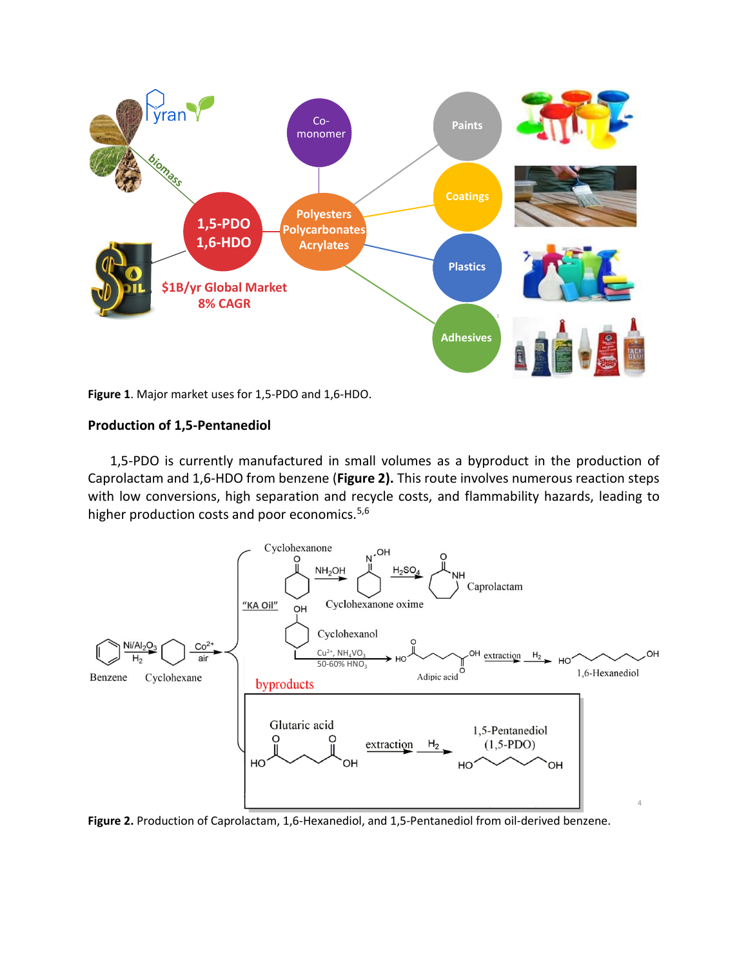

<span id="page-1-0"></span>**Figure 1**. Major market uses for 1,5-PDO and 1,6-HDO.

## **Production of 1,5-Pentanediol**

1,5-PDO is currently manufactured in small volumes as a byproduct in the production of Caprolactam and 1,6-HDO from benzene (**[Figure 2\)](#page-1-1).** This route involves numerous reaction steps with low conversions, high separation and recycle costs, and flammability hazards, leading to higher production costs and poor economics.<sup>5,6</sup>



<span id="page-1-1"></span>**Figure 2.** Production of Caprolactam, 1,6-Hexanediol, and 1,5-Pentanediol from oil-derived benzene.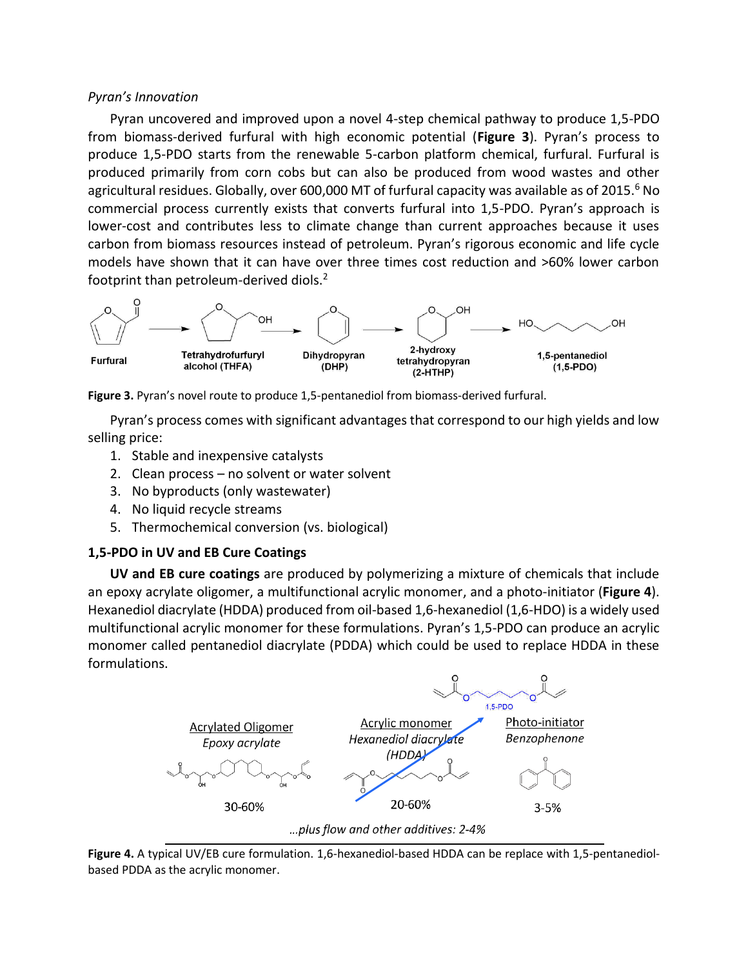## *Pyran's Innovation*

Pyran uncovered and improved upon a novel 4-step chemical pathway to produce 1,5-PDO from biomass-derived furfural with high economic potential (**[Figure](#page-2-0) 3**). Pyran's process to produce 1,5-PDO starts from the renewable 5-carbon platform chemical, furfural. Furfural is produced primarily from corn cobs but can also be produced from wood wastes and other agricultural residues. Globally, over 600,000 MT of furfural capacity was available as of 2015.<sup>6</sup> No commercial process currently exists that converts furfural into 1,5-PDO. Pyran's approach is lower-cost and contributes less to climate change than current approaches because it uses carbon from biomass resources instead of petroleum. Pyran's rigorous economic and life cycle models have shown that it can have over three times cost reduction and >60% lower carbon footprint than petroleum-derived diols.<sup>2</sup>



<span id="page-2-0"></span>**Figure 3.** Pyran's novel route to produce 1,5-pentanediol from biomass-derived furfural.

Pyran's process comes with significant advantages that correspond to our high yields and low selling price:

- 1. Stable and inexpensive catalysts
- 2. Clean process no solvent or water solvent
- 3. No byproducts (only wastewater)
- 4. No liquid recycle streams
- 5. Thermochemical conversion (vs. biological)

# **1,5-PDO in UV and EB Cure Coatings**

**UV and EB cure coatings** are produced by polymerizing a mixture of chemicals that include an epoxy acrylate oligomer, a multifunctional acrylic monomer, and a photo-initiator (**[Figure 4](#page-2-1)**). Hexanediol diacrylate (HDDA) produced from oil-based 1,6-hexanediol (1,6-HDO) is a widely used multifunctional acrylic monomer for these formulations. Pyran's 1,5-PDO can produce an acrylic monomer called pentanediol diacrylate (PDDA) which could be used to replace HDDA in these formulations.



<span id="page-2-1"></span>**Figure 4.** A typical UV/EB cure formulation. 1,6-hexanediol-based HDDA can be replace with 1,5-pentanediolbased PDDA as the acrylic monomer.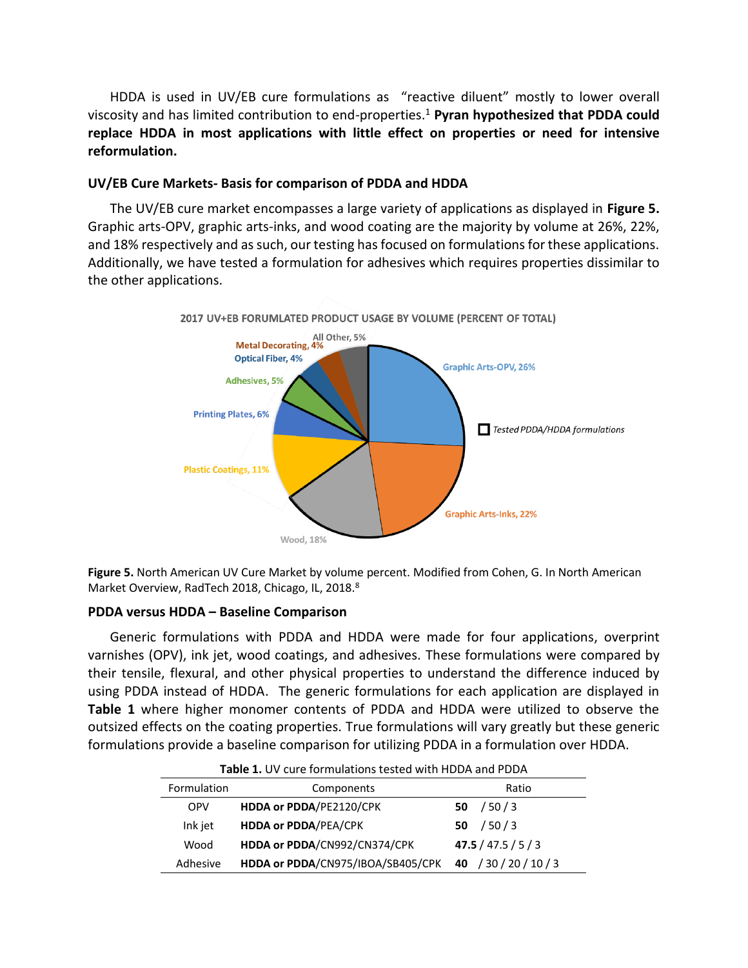HDDA is used in UV/EB cure formulations as "reactive diluent" mostly to lower overall viscosity and has limited contribution to end-properties. <sup>1</sup> **Pyran hypothesized that PDDA could replace HDDA in most applications with little effect on properties or need for intensive reformulation.**

# **UV/EB Cure Markets- Basis for comparison of PDDA and HDDA**

The UV/EB cure market encompasses a large variety of applications as displayed in **[Figure 5.](#page-3-0)** Graphic arts-OPV, graphic arts-inks, and wood coating are the majority by volume at 26%, 22%, and 18% respectively and as such, our testing has focused on formulations for these applications. Additionally, we have tested a formulation for adhesives which requires properties dissimilar to the other applications.



2017 UV+EB FORUMLATED PRODUCT USAGE BY VOLUME (PERCENT OF TOTAL)

<span id="page-3-0"></span>**Figure 5.** North American UV Cure Market by volume percent. Modified from Cohen, G. In North American Market Overview, RadTech 2018, Chicago, IL, 2018.<sup>8</sup>

# **PDDA versus HDDA – Baseline Comparison**

Generic formulations with PDDA and HDDA were made for four applications, overprint varnishes (OPV), ink jet, wood coatings, and adhesives. These formulations were compared by their tensile, flexural, and other physical properties to understand the difference induced by using PDDA instead of HDDA. The generic formulations for each application are displayed in **[Table 1](#page-3-1)** where higher monomer contents of PDDA and HDDA were utilized to observe the outsized effects on the coating properties. True formulations will vary greatly but these generic formulations provide a baseline comparison for utilizing PDDA in a formulation over HDDA.

<span id="page-3-1"></span>

| <b>Table 1.</b> OV care formations tested with HDDA and FDDA |                                   |                       |  |  |  |
|--------------------------------------------------------------|-----------------------------------|-----------------------|--|--|--|
| Formulation                                                  | Components                        | Ratio                 |  |  |  |
| <b>OPV</b>                                                   | HDDA or PDDA/PE2120/CPK           | /50/3<br>50           |  |  |  |
| Ink jet                                                      | <b>HDDA or PDDA/PEA/CPK</b>       | /50/3<br>50           |  |  |  |
| Wood                                                         | HDDA or PDDA/CN992/CN374/CPK      | 47.5 / 47.5 / 5 / 3   |  |  |  |
| Adhesive                                                     | HDDA or PDDA/CN975/IBOA/SB405/CPK | 40 / 30 / 20 / 10 / 3 |  |  |  |

**Table 1.** UV cure formulations tested with HDDA and PDDA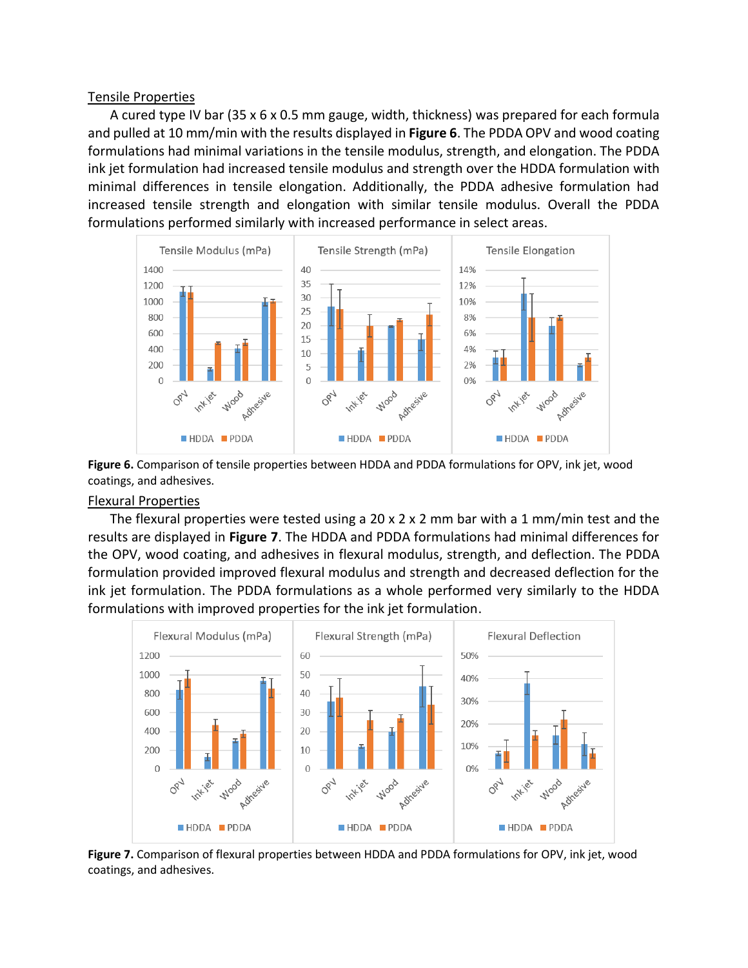#### Tensile Properties

A cured type IV bar (35 x 6 x 0.5 mm gauge, width, thickness) was prepared for each formula and pulled at 10 mm/min with the results displayed in **[Figure 6](#page-4-0)**. The PDDA OPV and wood coating formulations had minimal variations in the tensile modulus, strength, and elongation. The PDDA ink jet formulation had increased tensile modulus and strength over the HDDA formulation with minimal differences in tensile elongation. Additionally, the PDDA adhesive formulation had increased tensile strength and elongation with similar tensile modulus. Overall the PDDA formulations performed similarly with increased performance in select areas.



<span id="page-4-0"></span>**Figure 6.** Comparison of tensile properties between HDDA and PDDA formulations for OPV, ink jet, wood coatings, and adhesives.

# Flexural Properties

The flexural properties were tested using a 20 x 2 x 2 mm bar with a 1 mm/min test and the results are displayed in **[Figure 7](#page-4-1)**. The HDDA and PDDA formulations had minimal differences for the OPV, wood coating, and adhesives in flexural modulus, strength, and deflection. The PDDA formulation provided improved flexural modulus and strength and decreased deflection for the ink jet formulation. The PDDA formulations as a whole performed very similarly to the HDDA formulations with improved properties for the ink jet formulation.

![](_page_4_Figure_6.jpeg)

<span id="page-4-1"></span>**Figure 7.** Comparison of flexural properties between HDDA and PDDA formulations for OPV, ink jet, wood coatings, and adhesives.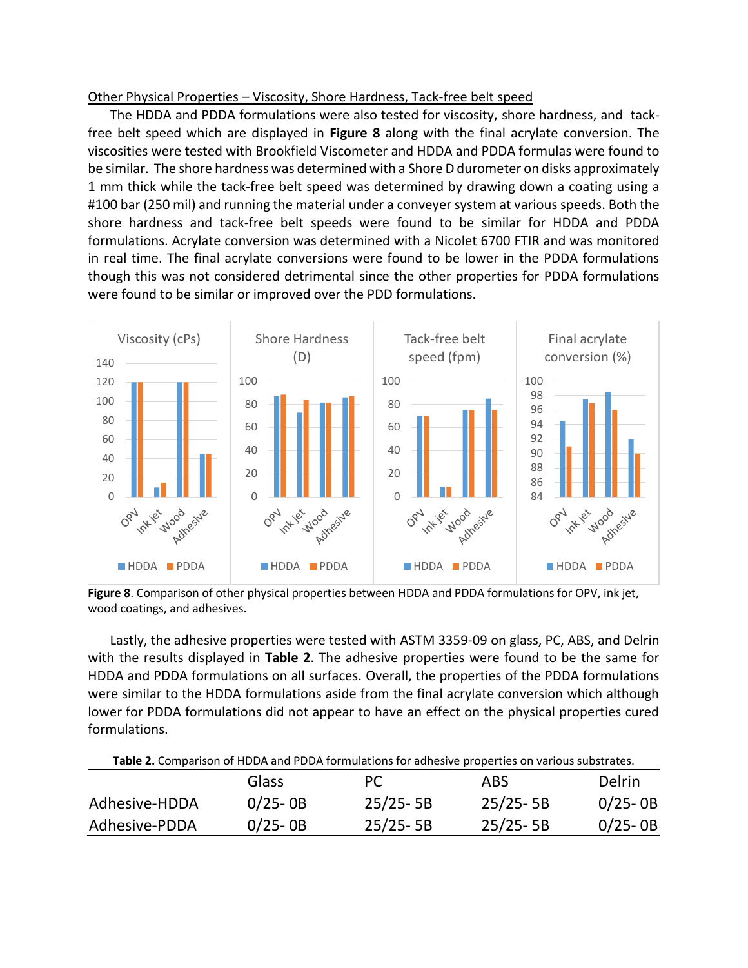# Other Physical Properties – Viscosity, Shore Hardness, Tack-free belt speed

The HDDA and PDDA formulations were also tested for viscosity, shore hardness, and tackfree belt speed which are displayed in **[Figure 8](#page-5-0)** along with the final acrylate conversion. The viscosities were tested with Brookfield Viscometer and HDDA and PDDA formulas were found to be similar. The shore hardness was determined with a Shore D durometer on disks approximately 1 mm thick while the tack-free belt speed was determined by drawing down a coating using a #100 bar (250 mil) and running the material under a conveyer system at various speeds. Both the shore hardness and tack-free belt speeds were found to be similar for HDDA and PDDA formulations. Acrylate conversion was determined with a Nicolet 6700 FTIR and was monitored in real time. The final acrylate conversions were found to be lower in the PDDA formulations though this was not considered detrimental since the other properties for PDDA formulations were found to be similar or improved over the PDD formulations.

![](_page_5_Figure_2.jpeg)

<span id="page-5-0"></span>**Figure 8**. Comparison of other physical properties between HDDA and PDDA formulations for OPV, ink jet, wood coatings, and adhesives.

Lastly, the adhesive properties were tested with ASTM 3359-09 on glass, PC, ABS, and Delrin with the results displayed in **[Table 2](#page-5-1)**. The adhesive properties were found to be the same for HDDA and PDDA formulations on all surfaces. Overall, the properties of the PDDA formulations were similar to the HDDA formulations aside from the final acrylate conversion which although lower for PDDA formulations did not appear to have an effect on the physical properties cured formulations.

<span id="page-5-1"></span>

| Table 2. Comparison of HDDA and PDDA formulations for adhesive properties on various substrates. |             |              |              |               |  |
|--------------------------------------------------------------------------------------------------|-------------|--------------|--------------|---------------|--|
|                                                                                                  | Glass       | PC.          | ABS.         | <b>Delrin</b> |  |
| Adhesive-HDDA                                                                                    | $0/25 - OB$ | $25/25 - 5B$ | $25/25 - 5B$ | $0/25 - OB$   |  |
| Adhesive-PDDA                                                                                    | $0/25 - OB$ | $25/25 - 5B$ | $25/25 - 5B$ | $0/25 - OB$   |  |